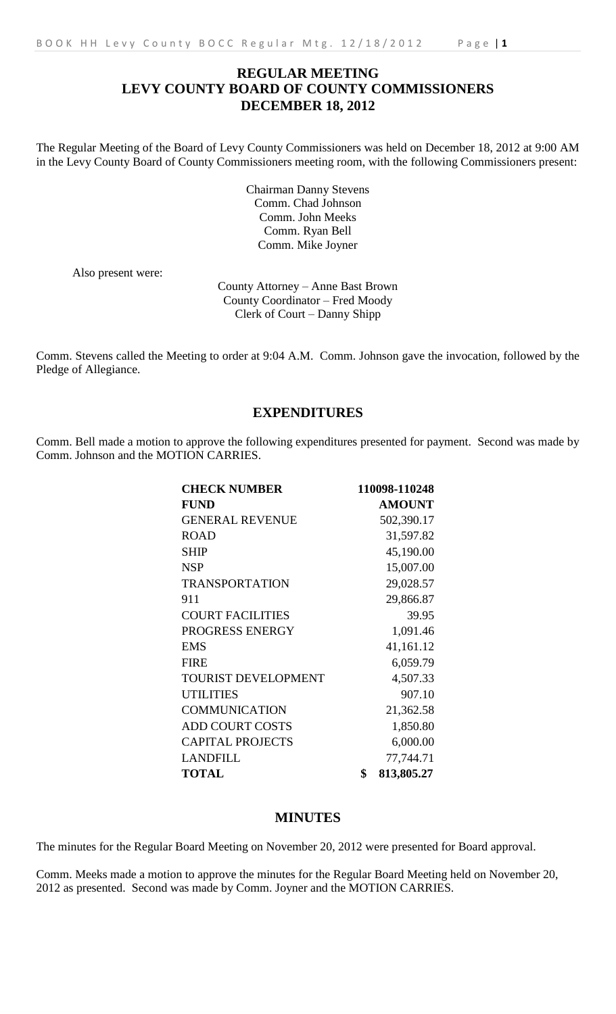# **REGULAR MEETING LEVY COUNTY BOARD OF COUNTY COMMISSIONERS DECEMBER 18, 2012**

The Regular Meeting of the Board of Levy County Commissioners was held on December 18, 2012 at 9:00 AM in the Levy County Board of County Commissioners meeting room, with the following Commissioners present:

> Chairman Danny Stevens Comm. Chad Johnson Comm. John Meeks Comm. Ryan Bell Comm. Mike Joyner

Also present were:

County Attorney – Anne Bast Brown County Coordinator – Fred Moody Clerk of Court – Danny Shipp

Comm. Stevens called the Meeting to order at 9:04 A.M. Comm. Johnson gave the invocation, followed by the Pledge of Allegiance.

# **EXPENDITURES**

Comm. Bell made a motion to approve the following expenditures presented for payment. Second was made by Comm. Johnson and the MOTION CARRIES.

| <b>CHECK NUMBER</b>        | 110098-110248    |
|----------------------------|------------------|
| <b>FUND</b>                | <b>AMOUNT</b>    |
| <b>GENERAL REVENUE</b>     | 502,390.17       |
| <b>ROAD</b>                | 31,597.82        |
| <b>SHIP</b>                | 45,190.00        |
| <b>NSP</b>                 | 15,007.00        |
| <b>TRANSPORTATION</b>      | 29,028.57        |
| 911                        | 29,866.87        |
| <b>COURT FACILITIES</b>    | 39.95            |
| PROGRESS ENERGY            | 1,091.46         |
| <b>EMS</b>                 | 41,161.12        |
| <b>FIRE</b>                | 6,059.79         |
| <b>TOURIST DEVELOPMENT</b> | 4,507.33         |
| <b>UTILITIES</b>           | 907.10           |
| <b>COMMUNICATION</b>       | 21,362.58        |
| <b>ADD COURT COSTS</b>     | 1,850.80         |
| <b>CAPITAL PROJECTS</b>    | 6,000.00         |
| <b>LANDFILL</b>            | 77,744.71        |
| <b>TOTAL</b>               | \$<br>813,805.27 |

## **MINUTES**

The minutes for the Regular Board Meeting on November 20, 2012 were presented for Board approval.

Comm. Meeks made a motion to approve the minutes for the Regular Board Meeting held on November 20, 2012 as presented. Second was made by Comm. Joyner and the MOTION CARRIES.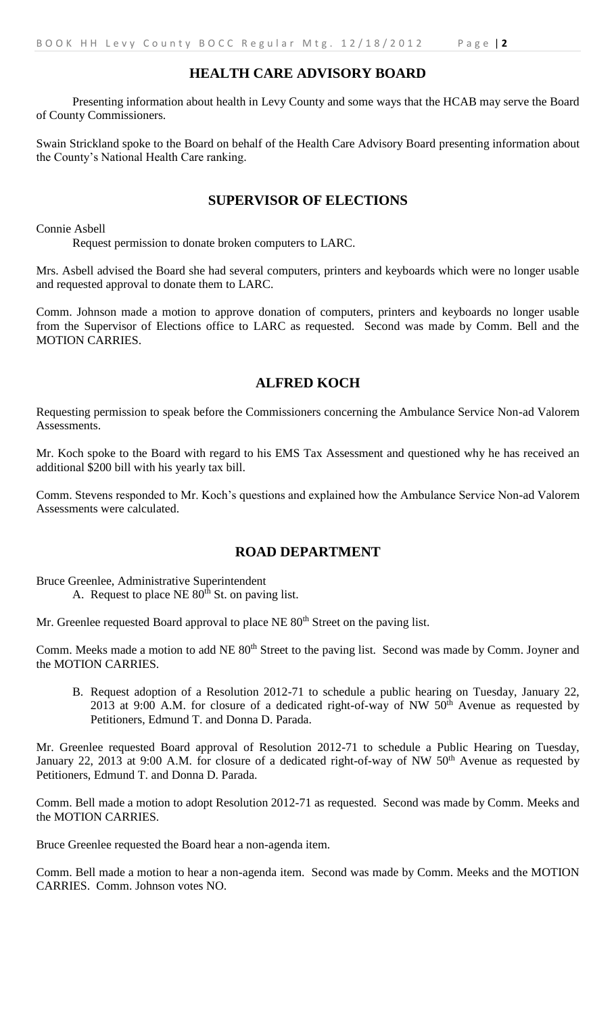# **HEALTH CARE ADVISORY BOARD**

Presenting information about health in Levy County and some ways that the HCAB may serve the Board of County Commissioners.

Swain Strickland spoke to the Board on behalf of the Health Care Advisory Board presenting information about the County's National Health Care ranking.

## **SUPERVISOR OF ELECTIONS**

Connie Asbell

Request permission to donate broken computers to LARC.

Mrs. Asbell advised the Board she had several computers, printers and keyboards which were no longer usable and requested approval to donate them to LARC.

Comm. Johnson made a motion to approve donation of computers, printers and keyboards no longer usable from the Supervisor of Elections office to LARC as requested. Second was made by Comm. Bell and the MOTION CARRIES.

## **ALFRED KOCH**

Requesting permission to speak before the Commissioners concerning the Ambulance Service Non-ad Valorem Assessments.

Mr. Koch spoke to the Board with regard to his EMS Tax Assessment and questioned why he has received an additional \$200 bill with his yearly tax bill.

Comm. Stevens responded to Mr. Koch's questions and explained how the Ambulance Service Non-ad Valorem Assessments were calculated.

## **ROAD DEPARTMENT**

Bruce Greenlee, Administrative Superintendent

A. Request to place NE 80<sup>th</sup> St. on paving list.

Mr. Greenlee requested Board approval to place NE 80<sup>th</sup> Street on the paving list.

Comm. Meeks made a motion to add NE 80<sup>th</sup> Street to the paving list. Second was made by Comm. Joyner and the MOTION CARRIES.

B. Request adoption of a Resolution 2012-71 to schedule a public hearing on Tuesday, January 22, 2013 at 9:00 A.M. for closure of a dedicated right-of-way of NW  $50<sup>th</sup>$  Avenue as requested by Petitioners, Edmund T. and Donna D. Parada.

Mr. Greenlee requested Board approval of Resolution 2012-71 to schedule a Public Hearing on Tuesday, January 22, 2013 at 9:00 A.M. for closure of a dedicated right-of-way of NW 50<sup>th</sup> Avenue as requested by Petitioners, Edmund T. and Donna D. Parada.

Comm. Bell made a motion to adopt Resolution 2012-71 as requested. Second was made by Comm. Meeks and the MOTION CARRIES.

Bruce Greenlee requested the Board hear a non-agenda item.

Comm. Bell made a motion to hear a non-agenda item. Second was made by Comm. Meeks and the MOTION CARRIES. Comm. Johnson votes NO.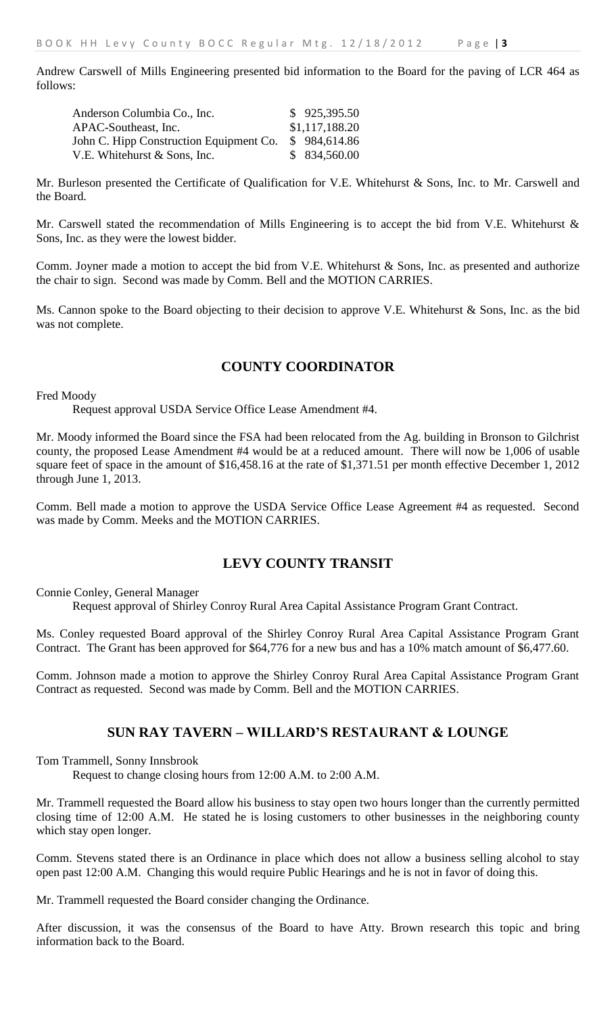Andrew Carswell of Mills Engineering presented bid information to the Board for the paving of LCR 464 as follows:

| Anderson Columbia Co., Inc.             | \$925,395.50   |
|-----------------------------------------|----------------|
| APAC-Southeast, Inc.                    | \$1,117,188.20 |
| John C. Hipp Construction Equipment Co. | \$984,614.86   |
| V.E. Whitehurst & Sons, Inc.            | \$834,560.00   |

Mr. Burleson presented the Certificate of Qualification for V.E. Whitehurst & Sons, Inc. to Mr. Carswell and the Board.

Mr. Carswell stated the recommendation of Mills Engineering is to accept the bid from V.E. Whitehurst & Sons, Inc. as they were the lowest bidder.

Comm. Joyner made a motion to accept the bid from V.E. Whitehurst & Sons, Inc. as presented and authorize the chair to sign. Second was made by Comm. Bell and the MOTION CARRIES.

Ms. Cannon spoke to the Board objecting to their decision to approve V.E. Whitehurst & Sons, Inc. as the bid was not complete.

# **COUNTY COORDINATOR**

Fred Moody

Request approval USDA Service Office Lease Amendment #4.

Mr. Moody informed the Board since the FSA had been relocated from the Ag. building in Bronson to Gilchrist county, the proposed Lease Amendment #4 would be at a reduced amount. There will now be 1,006 of usable square feet of space in the amount of \$16,458.16 at the rate of \$1,371.51 per month effective December 1, 2012 through June 1, 2013.

Comm. Bell made a motion to approve the USDA Service Office Lease Agreement #4 as requested. Second was made by Comm. Meeks and the MOTION CARRIES.

## **LEVY COUNTY TRANSIT**

Connie Conley, General Manager

Request approval of Shirley Conroy Rural Area Capital Assistance Program Grant Contract.

Ms. Conley requested Board approval of the Shirley Conroy Rural Area Capital Assistance Program Grant Contract. The Grant has been approved for \$64,776 for a new bus and has a 10% match amount of \$6,477.60.

Comm. Johnson made a motion to approve the Shirley Conroy Rural Area Capital Assistance Program Grant Contract as requested. Second was made by Comm. Bell and the MOTION CARRIES.

## **SUN RAY TAVERN – WILLARD'S RESTAURANT & LOUNGE**

Tom Trammell, Sonny Innsbrook

Request to change closing hours from 12:00 A.M. to 2:00 A.M.

Mr. Trammell requested the Board allow his business to stay open two hours longer than the currently permitted closing time of 12:00 A.M. He stated he is losing customers to other businesses in the neighboring county which stay open longer.

Comm. Stevens stated there is an Ordinance in place which does not allow a business selling alcohol to stay open past 12:00 A.M. Changing this would require Public Hearings and he is not in favor of doing this.

Mr. Trammell requested the Board consider changing the Ordinance.

After discussion, it was the consensus of the Board to have Atty. Brown research this topic and bring information back to the Board.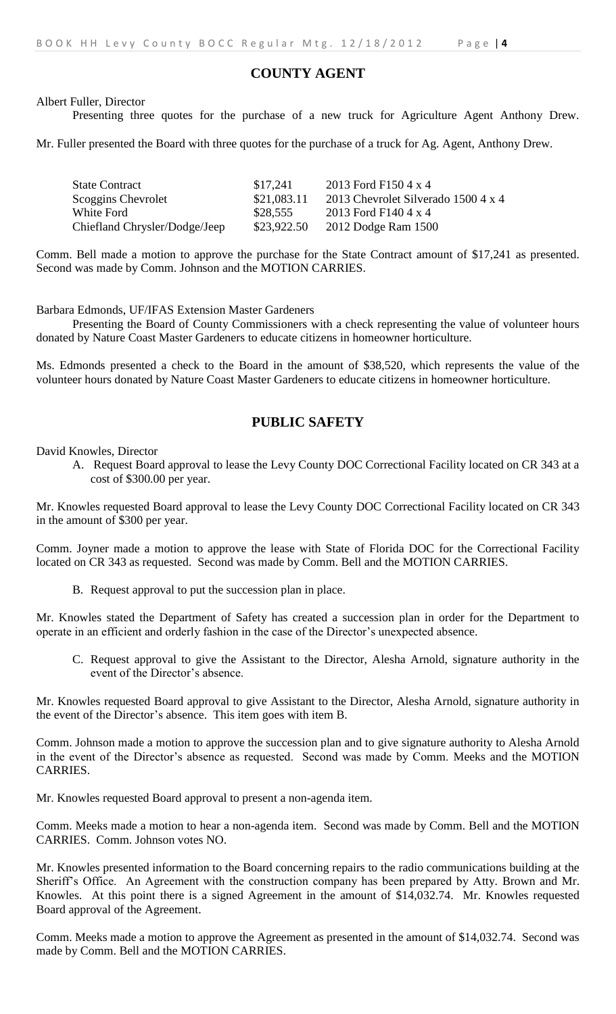## **COUNTY AGENT**

Albert Fuller, Director

Presenting three quotes for the purchase of a new truck for Agriculture Agent Anthony Drew.

Mr. Fuller presented the Board with three quotes for the purchase of a truck for Ag. Agent, Anthony Drew.

| <b>State Contract</b>         | \$17.241    | 2013 Ford F150 4 x 4                |
|-------------------------------|-------------|-------------------------------------|
| Scoggins Chevrolet            | \$21,083.11 | 2013 Chevrolet Silverado 1500 4 x 4 |
| White Ford                    | \$28,555    | 2013 Ford F140 4 x 4                |
| Chiefland Chrysler/Dodge/Jeep | \$23,922.50 | 2012 Dodge Ram 1500                 |

Comm. Bell made a motion to approve the purchase for the State Contract amount of \$17,241 as presented. Second was made by Comm. Johnson and the MOTION CARRIES.

Barbara Edmonds, UF/IFAS Extension Master Gardeners

Presenting the Board of County Commissioners with a check representing the value of volunteer hours donated by Nature Coast Master Gardeners to educate citizens in homeowner horticulture.

Ms. Edmonds presented a check to the Board in the amount of \$38,520, which represents the value of the volunteer hours donated by Nature Coast Master Gardeners to educate citizens in homeowner horticulture.

# **PUBLIC SAFETY**

David Knowles, Director

A. Request Board approval to lease the Levy County DOC Correctional Facility located on CR 343 at a cost of \$300.00 per year.

Mr. Knowles requested Board approval to lease the Levy County DOC Correctional Facility located on CR 343 in the amount of \$300 per year.

Comm. Joyner made a motion to approve the lease with State of Florida DOC for the Correctional Facility located on CR 343 as requested. Second was made by Comm. Bell and the MOTION CARRIES.

B. Request approval to put the succession plan in place.

Mr. Knowles stated the Department of Safety has created a succession plan in order for the Department to operate in an efficient and orderly fashion in the case of the Director's unexpected absence.

C. Request approval to give the Assistant to the Director, Alesha Arnold, signature authority in the event of the Director's absence.

Mr. Knowles requested Board approval to give Assistant to the Director, Alesha Arnold, signature authority in the event of the Director's absence. This item goes with item B.

Comm. Johnson made a motion to approve the succession plan and to give signature authority to Alesha Arnold in the event of the Director's absence as requested. Second was made by Comm. Meeks and the MOTION CARRIES.

Mr. Knowles requested Board approval to present a non-agenda item.

Comm. Meeks made a motion to hear a non-agenda item. Second was made by Comm. Bell and the MOTION CARRIES. Comm. Johnson votes NO.

Mr. Knowles presented information to the Board concerning repairs to the radio communications building at the Sheriff's Office. An Agreement with the construction company has been prepared by Atty. Brown and Mr. Knowles. At this point there is a signed Agreement in the amount of \$14,032.74. Mr. Knowles requested Board approval of the Agreement.

Comm. Meeks made a motion to approve the Agreement as presented in the amount of \$14,032.74. Second was made by Comm. Bell and the MOTION CARRIES.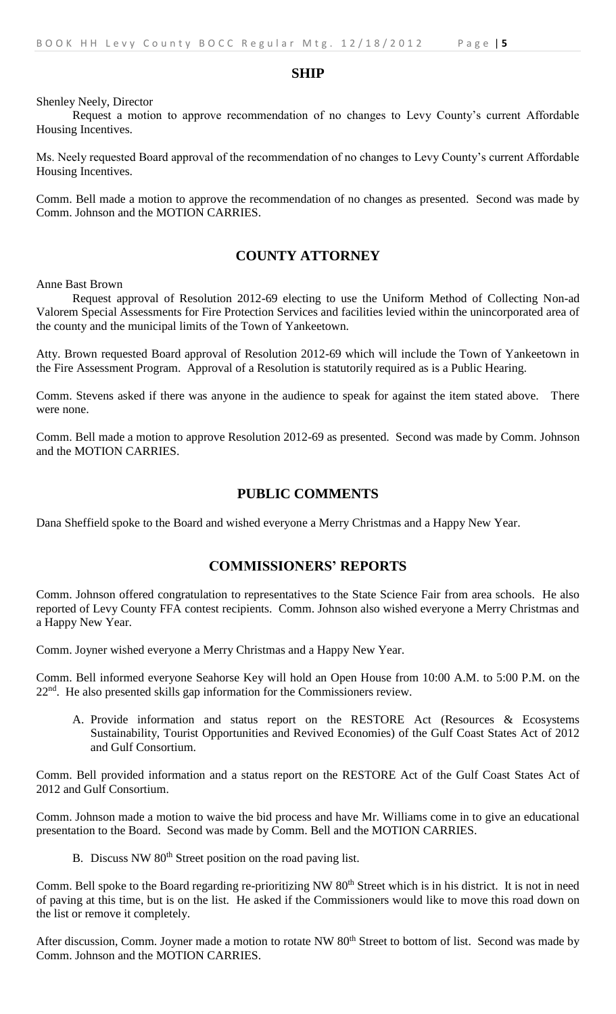#### **SHIP**

Shenley Neely, Director

Request a motion to approve recommendation of no changes to Levy County's current Affordable Housing Incentives.

Ms. Neely requested Board approval of the recommendation of no changes to Levy County's current Affordable Housing Incentives.

Comm. Bell made a motion to approve the recommendation of no changes as presented. Second was made by Comm. Johnson and the MOTION CARRIES.

#### **COUNTY ATTORNEY**

Anne Bast Brown

Request approval of Resolution 2012-69 electing to use the Uniform Method of Collecting Non-ad Valorem Special Assessments for Fire Protection Services and facilities levied within the unincorporated area of the county and the municipal limits of the Town of Yankeetown.

Atty. Brown requested Board approval of Resolution 2012-69 which will include the Town of Yankeetown in the Fire Assessment Program. Approval of a Resolution is statutorily required as is a Public Hearing.

Comm. Stevens asked if there was anyone in the audience to speak for against the item stated above. There were none.

Comm. Bell made a motion to approve Resolution 2012-69 as presented. Second was made by Comm. Johnson and the MOTION CARRIES.

#### **PUBLIC COMMENTS**

Dana Sheffield spoke to the Board and wished everyone a Merry Christmas and a Happy New Year.

#### **COMMISSIONERS' REPORTS**

Comm. Johnson offered congratulation to representatives to the State Science Fair from area schools. He also reported of Levy County FFA contest recipients. Comm. Johnson also wished everyone a Merry Christmas and a Happy New Year.

Comm. Joyner wished everyone a Merry Christmas and a Happy New Year.

Comm. Bell informed everyone Seahorse Key will hold an Open House from 10:00 A.M. to 5:00 P.M. on the 22nd. He also presented skills gap information for the Commissioners review.

A. Provide information and status report on the RESTORE Act (Resources & Ecosystems Sustainability, Tourist Opportunities and Revived Economies) of the Gulf Coast States Act of 2012 and Gulf Consortium.

Comm. Bell provided information and a status report on the RESTORE Act of the Gulf Coast States Act of 2012 and Gulf Consortium.

Comm. Johnson made a motion to waive the bid process and have Mr. Williams come in to give an educational presentation to the Board. Second was made by Comm. Bell and the MOTION CARRIES.

B. Discuss NW 80<sup>th</sup> Street position on the road paving list.

Comm. Bell spoke to the Board regarding re-prioritizing NW 80<sup>th</sup> Street which is in his district. It is not in need of paving at this time, but is on the list. He asked if the Commissioners would like to move this road down on the list or remove it completely.

After discussion, Comm. Joyner made a motion to rotate NW 80<sup>th</sup> Street to bottom of list. Second was made by Comm. Johnson and the MOTION CARRIES.